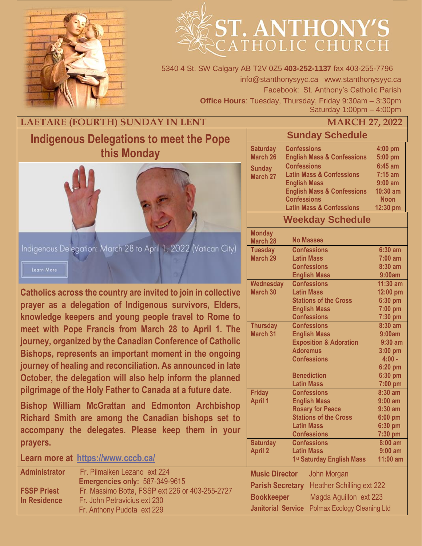

# ST. ANTHONY'S

5340 4 St. SW Calgary AB T2V 0Z5 **403-252-1137** fax 403-255-7796 info@stanthonysyyc.ca www.stanthonysyyc.ca Facebook: St. Anthony's Catholic Parish **Office Hours**: Tuesday, Thursday, Friday 9:30am – 3:30pm Saturday 1:00pm – 4:00pm

# **LAETARE (FOURTH) SUNDAY IN LENT MARCH 27, 2022**

# **Indigenous Delegations to meet the Pope this Monday**



Indigenous Delegation: March 28 to April 1, 2022 (Vatican City) Learn More

**Catholics across the country are invited to join in collective prayer as a delegation of Indigenous survivors, Elders, knowledge keepers and young people travel to Rome to meet with Pope Francis from March 28 to April 1. The journey, organized by the Canadian Conference of Catholic Bishops, represents an important moment in the ongoing journey of healing and reconciliation. As announced in late October, the delegation will also help inform the planned pilgrimage of the Holy Father to Canada at a future date.**

**Bishop William McGrattan and Edmonton Archbishop Richard Smith are among the Canadian bishops set to accompany the delegates. Please keep them in your prayers.**

**Learn more at <https://www.cccb.ca/>**

| <b>Administrator</b> | Fr. Pilmaiken Lezano ext 224                    |
|----------------------|-------------------------------------------------|
|                      | Emergencies only: 587-349-9615                  |
| <b>FSSP Priest</b>   | Fr. Massimo Botta, FSSP ext 226 or 403-255-2727 |
| In Residence         | Fr. John Petravicius ext 230                    |
|                      | Fr. Anthony Pudota ext 229                      |

# **Sunday Schedule**

| <b>Saturday</b>           | <b>Confessions</b>                    | 4:00 pm     |
|---------------------------|---------------------------------------|-------------|
| <b>March 26</b>           | <b>English Mass &amp; Confessions</b> | 5:00 pm     |
| <b>Sunday</b><br>March 27 | <b>Confessions</b>                    | $6:45$ am   |
|                           | <b>Latin Mass &amp; Confessions</b>   | $7:15$ am   |
|                           | <b>English Mass</b>                   | $9:00$ am   |
|                           | <b>English Mass &amp; Confessions</b> | $10:30$ am  |
|                           | <b>Confessions</b>                    | <b>Noon</b> |
|                           | <b>Latin Mass &amp; Confessions</b>   | 12:30 pm    |
|                           | <b>Weekday Schedule</b>               |             |

| <b>Monday</b>                               |                                       |            |
|---------------------------------------------|---------------------------------------|------------|
| <b>March 28</b>                             | <b>No Masses</b>                      |            |
| <b>Tuesday</b>                              | <b>Confessions</b>                    | $6:30$ am  |
| March 29                                    | <b>Latin Mass</b>                     | $7:00$ am  |
|                                             | <b>Confessions</b>                    | $8:30$ am  |
|                                             | <b>English Mass</b>                   | 9:00am     |
| <b>Wednesday</b>                            | <b>Confessions</b>                    | $11:30$ am |
| <b>March 30</b>                             | <b>Latin Mass</b>                     | 12:00 pm   |
|                                             | <b>Stations of the Cross</b>          | 6:30 pm    |
|                                             | <b>English Mass</b>                   | 7:00 pm    |
|                                             | <b>Confessions</b>                    | 7:30 pm    |
| <b>Thursday</b>                             | <b>Confessions</b>                    | 8:30 am    |
| <b>March 31</b>                             | <b>English Mass</b>                   | 9:00am     |
|                                             | <b>Exposition &amp; Adoration</b>     | $9:30$ am  |
|                                             | <b>Adoremus</b>                       | $3:00$ pm  |
|                                             | <b>Confessions</b>                    | $4:00 -$   |
|                                             |                                       | $6:20$ pm  |
|                                             | <b>Benediction</b>                    | 6:30 pm    |
|                                             | <b>Latin Mass</b>                     | 7:00 pm    |
| <b>Friday</b>                               | <b>Confessions</b>                    | $8:30$ am  |
| <b>April 1</b>                              | <b>English Mass</b><br>$9:00$ am      |            |
|                                             | <b>Rosary for Peace</b>               | $9:30$ am  |
|                                             | <b>Stations of the Cross</b>          | 6:00 pm    |
|                                             | <b>Latin Mass</b>                     | $6:30$ pm  |
|                                             | <b>Confessions</b>                    | 7:30 pm    |
| <b>Saturday</b>                             | <b>Confessions</b>                    | $8:00$ am  |
| <b>April 2</b>                              | <b>Latin Mass</b><br>$9:00$ am        |            |
|                                             | 1 <sup>st</sup> Saturday English Mass | $11:00$ am |
| <b>Music Director</b><br><b>John Morgan</b> |                                       |            |
| <b>Parish Secretary</b>                     | <b>Heather Schilling ext 222</b>      |            |
| <b>Bookkeeper</b>                           | Magda Aguillon ext 223                |            |

**Janitorial Service** Polmax Ecology Cleaning Ltd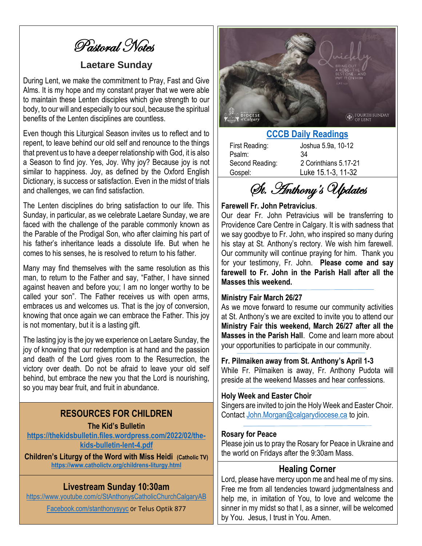Pastoral Notes

## **Laetare Sunday**

During Lent, we make the commitment to Pray, Fast and Give Alms. It is my hope and my constant prayer that we were able to maintain these Lenten disciples which give strength to our body, to our will and especially to our soul, because the spiritual benefits of the Lenten disciplines are countless.

Even though this Liturgical Season invites us to reflect and to repent, to leave behind our old self and renounce to the things that prevent us to have a deeper relationship with God, it is also a Season to find joy. Yes, Joy. Why joy? Because joy is not similar to happiness. Joy, as defined by the Oxford English Dictionary, is success or satisfaction. Even in the midst of trials and challenges, we can find satisfaction.

The Lenten disciplines do bring satisfaction to our life. This Sunday, in particular, as we celebrate Laetare Sunday, we are faced with the challenge of the parable commonly known as the Parable of the Prodigal Son, who after claiming his part of his father's inheritance leads a dissolute life. But when he comes to his senses, he is resolved to return to his father.

Many may find themselves with the same resolution as this man, to return to the Father and say, "Father, I have sinned against heaven and before you; I am no longer worthy to be called your son". The Father receives us with open arms, embraces us and welcomes us. That is the joy of conversion, knowing that once again we can embrace the Father. This joy is not momentary, but it is a lasting gift.

The lasting joy is the joy we experience on Laetare Sunday, the joy of knowing that our redemption is at hand and the passion and death of the Lord gives room to the Resurrection, the victory over death. Do not be afraid to leave your old self behind, but embrace the new you that the Lord is nourishing, so you may bear fruit, and fruit in abundance.

## **RESOURCES FOR CHILDREN**

#### **The Kid's Bulletin**

**[https://thekidsbulletin.files.wordpress.com/2022/02/the](https://thekidsbulletin.files.wordpress.com/2022/02/the-kids-bulletin-lent-4.pdf)[kids-bulletin-lent-4.pdf](https://thekidsbulletin.files.wordpress.com/2022/02/the-kids-bulletin-lent-4.pdf)**

**Children's Liturgy of the Word with Miss Heidi (Catholic TV) <https://www.catholictv.org/childrens-liturgy.html>**

### **Livestream Sunday 10:30am**

<https://www.youtube.com/c/StAnthonysCatholicChurchCalgaryAB>

[Facebook.com/stanthonysyyc](https://www.facebook.com/stanthonysyyc/) or Telus Optik 877



#### **[CCCB Daily Readings](http://ec2-34-245-7-114.eu-west-1.compute.amazonaws.com/daily-texts/reading/2022-03-27)**

Psalm: 34

First Reading: Joshua 5.9a, 10-12 Second Reading: 2 Corinthians 5.17-21 Gospel: Luke 15.1-3, 11-32

St. Anthony's Updates

#### **Farewell Fr. John Petravicius**.

Our dear Fr. John Petravicius will be transferring to Providence Care Centre in Calgary. It is with sadness that we say goodbye to Fr. John, who inspired so many during his stay at St. Anthony's rectory. We wish him farewell. Our community will continue praying for him. Thank you for your testimony, Fr. John. **Please come and say farewell to Fr. John in the Parish Hall after all the Masses this weekend.**

#### **Ministry Fair March 26/27**

As we move forward to resume our community activities at St. Anthony's we are excited to invite you to attend our **Ministry Fair this weekend, March 26/27 after all the Masses in the Parish Hall**. Come and learn more about your opportunities to participate in our community.

#### **Fr. Pilmaiken away from St. Anthony's April 1-3**

While Fr. Pilmaiken is away, Fr. Anthony Pudota will preside at the weekend Masses and hear confessions.

#### **Holy Week and Easter Choir**

Singers are invited to join the Holy Week and Easter Choir. Contact [John.Morgan@calgarydiocese.ca](mailto:John.Morgan@calgarydiocese.ca) to join.

#### **Rosary for Peace**

Please join us to pray the Rosary for Peace in Ukraine and the world on Fridays after the 9:30am Mass.

#### **Healing Corner**

Lord, please have mercy upon me and heal me of my sins. Free me from all tendencies toward judgmentalness and help me, in imitation of You, to love and welcome the sinner in my midst so that I, as a sinner, will be welcomed by You. Jesus, I trust in You. Amen.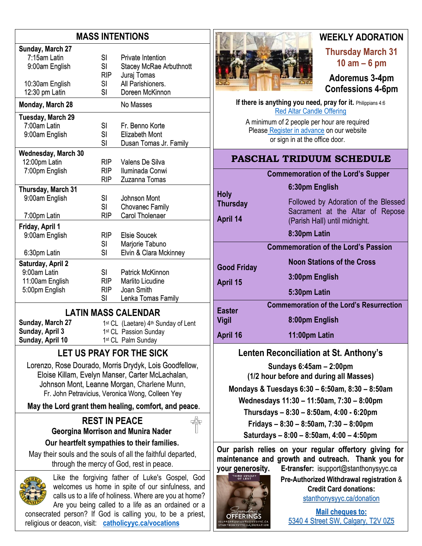# **MASS INTENTIONS**

| Sunday, March 27                                                                                                                                              |                  |                                                        |  |  |  |
|---------------------------------------------------------------------------------------------------------------------------------------------------------------|------------------|--------------------------------------------------------|--|--|--|
| 7:15am Latin                                                                                                                                                  | SI               | <b>Private Intention</b>                               |  |  |  |
| 9:00am English                                                                                                                                                | <b>SI</b>        | <b>Stacey McRae Arbuthnott</b>                         |  |  |  |
|                                                                                                                                                               | <b>RIP</b>       | Juraj Tomas                                            |  |  |  |
| 10:30am English                                                                                                                                               | <b>SI</b>        | All Parishioners.                                      |  |  |  |
| 12:30 pm Latin                                                                                                                                                | SI               | Doreen McKinnon                                        |  |  |  |
| Monday, March 28                                                                                                                                              |                  | No Masses                                              |  |  |  |
| Tuesday, March 29                                                                                                                                             |                  |                                                        |  |  |  |
| 7:00am Latin                                                                                                                                                  | SI               | Fr. Benno Korte                                        |  |  |  |
| 9:00am English                                                                                                                                                | SI               | <b>Elizabeth Mont</b>                                  |  |  |  |
|                                                                                                                                                               | SI               | Dusan Tomas Jr. Family                                 |  |  |  |
| <b>Wednesday, March 30</b>                                                                                                                                    |                  |                                                        |  |  |  |
| 12:00pm Latin                                                                                                                                                 | RIP              | Valens De Silva                                        |  |  |  |
| 7:00pm English                                                                                                                                                | <b>RIP</b>       | Iluminada Conwi                                        |  |  |  |
|                                                                                                                                                               | RIP              | Zuzanna Tomas                                          |  |  |  |
| Thursday, March 31                                                                                                                                            |                  |                                                        |  |  |  |
| 9:00am English                                                                                                                                                | SI<br>SI         | Johnson Mont<br><b>Chovanec Family</b>                 |  |  |  |
|                                                                                                                                                               | <b>RIP</b>       | Carol Tholenaer                                        |  |  |  |
| 7:00pm Latin                                                                                                                                                  |                  |                                                        |  |  |  |
| Friday, April 1                                                                                                                                               |                  |                                                        |  |  |  |
| 9:00am English                                                                                                                                                | RIP              | <b>Elsie Soucek</b>                                    |  |  |  |
|                                                                                                                                                               | SI<br>SI         | Marjorie Tabuno<br>Elvin & Clara Mckinney              |  |  |  |
| 6:30pm Latin                                                                                                                                                  |                  |                                                        |  |  |  |
| Saturday, April 2                                                                                                                                             |                  |                                                        |  |  |  |
| 9:00am Latin                                                                                                                                                  | SI               | <b>Patrick McKinnon</b>                                |  |  |  |
| 11:00am English                                                                                                                                               | <b>RIP</b>       | <b>Marlito Licudine</b>                                |  |  |  |
| 5:00pm English                                                                                                                                                | <b>RIP</b><br>SI | Joan Smith<br>Lenka Tomas Family                       |  |  |  |
|                                                                                                                                                               |                  |                                                        |  |  |  |
|                                                                                                                                                               |                  | <b>LATIN MASS CALENDAR</b>                             |  |  |  |
| Sunday, March 27                                                                                                                                              |                  | 1st CL (Laetare) 4th Sunday of Lent                    |  |  |  |
| Sunday, April 3                                                                                                                                               |                  | 1st CL Passion Sunday                                  |  |  |  |
| Sunday, April 10                                                                                                                                              |                  | 1st CL Palm Sunday                                     |  |  |  |
|                                                                                                                                                               |                  | <b>LET US PRAY FOR THE SICK</b>                        |  |  |  |
|                                                                                                                                                               |                  | Lorenzo, Rose Dourado, Morris Drydyk, Lois Goodfellow, |  |  |  |
|                                                                                                                                                               |                  | Eloise Killam, Evelyn Manser, Carter McLachalan,       |  |  |  |
|                                                                                                                                                               |                  | Johnson Mont, Leanne Morgan, Charlene Munn,            |  |  |  |
|                                                                                                                                                               |                  | Fr. John Petravicius, Veronica Wong, Colleen Yey       |  |  |  |
|                                                                                                                                                               |                  | May the Lord grant them healing, comfort, and peace.   |  |  |  |
| <b>REST IN PEACE</b>                                                                                                                                          |                  |                                                        |  |  |  |
| <b>Georgina Morrison and Munira Nader</b>                                                                                                                     |                  |                                                        |  |  |  |
| Our heartfelt sympathies to their families.                                                                                                                   |                  |                                                        |  |  |  |
|                                                                                                                                                               |                  |                                                        |  |  |  |
| May their souls and the souls of all the faithful departed,<br>through the mercy of God, rest in peace.                                                       |                  |                                                        |  |  |  |
| Like the forgiving father of Luke's Gospel, God<br>welcomes us home in spite of our sinfulness, and<br>calls us to a life of holiness. Where are you at home? |                  |                                                        |  |  |  |

Are you being called to a life as an ordained or a consecrated person? If God is calling you, to be a priest,

religious or deacon, visit: **[catholicyyc.ca/vocations](http://www.catholicyyc.ca/vocations)**



# **WEEKLY ADORATION**

**Thursday March 31 10 am – 6 pm**

**Adoremus 3-4pm Confessions 4-6pm**

**If there is anything you need, pray for it. Philippians 4:6** [Red Altar Candle Offering](https://stanthonysyyc.ca/wp-content/uploads/2020/10/RED-ALTAR-CANDLE-OFFERING.pdf)

A minimum of 2 people per hour are required Please Register [in advance](https://volunteersignup.org/EXBPK) on our website or sign in at the office door.

# **PASCHAL TRIDUUM SCHEDULE**

## **Commemoration of the Lord's Supper**

**6:30pm English**

**Thursday**

**Holy** 

**April 14**

**Good Friday**

**IRD SUND**<br>OF LENT

**OFFERINGS** 

**April 15**

Followed by Adoration of the Blessed Sacrament at the Altar of Repose (Parish Hall) until midnight.

#### **8:30pm Latin**

**Commemoration of the Lord's Passion**

**Noon Stations of the Cross**

**3:00pm English**

**5:30pm Latin** 

**Easter Vigil Commemoration of the Lord's Resurrection 8:00pm English**

**April 16 11:00pm Latin** 

## **Lenten Reconciliation at St. Anthony's**

**Sundays 6:45am – 2:00pm (1/2 hour before and during all Masses)**

**Mondays & Tuesdays 6:30 – 6:50am, 8:30 – 8:50am Wednesdays 11:30 – 11:50am, 7:30 – 8:00pm**

**Thursdays – 8:30 – 8:50am, 4:00 - 6:20pm**

**Fridays – 8:30 – 8:50am, 7:30 – 8:00pm**

**Saturdays – 8:00 – 8:50am, 4:00 – 4:50pm**

**Our parish relies on your regular offertory giving for maintenance and growth and outreach. Thank you for your generosity. E-transfer:** isupport@stanthonysyyc.ca

> **Pre-Authorized Withdrawal registration** & **Credit Card donations:** [stanthonysyyc.ca/donation](https://stanthonysyyc.ca/donation/)

**Mail cheques to:** 5340 4 Street SW, Calgary, T2V 0Z5